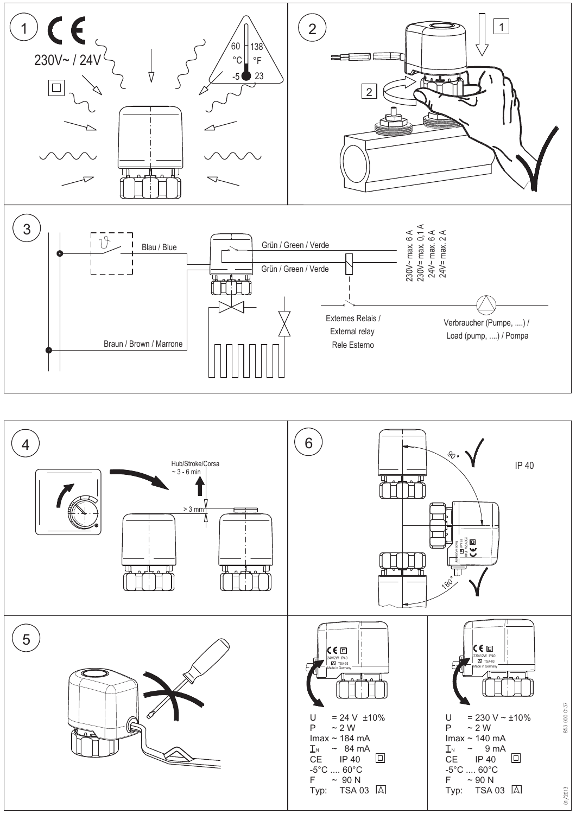

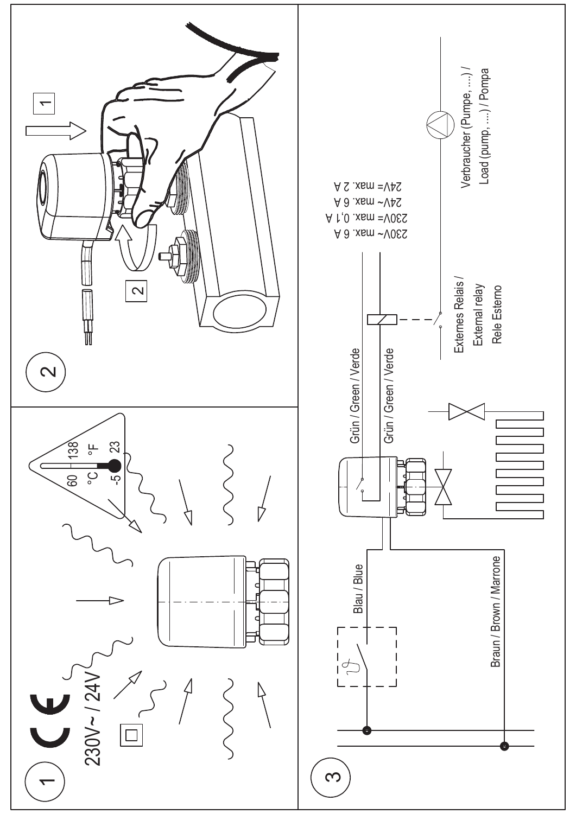